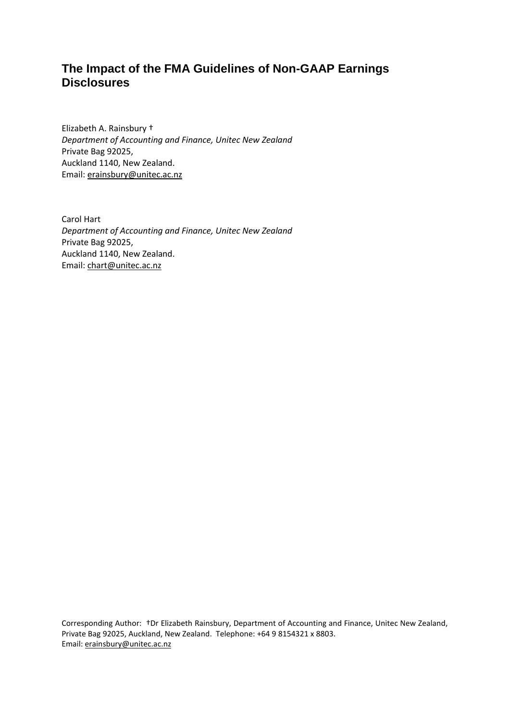# **The Impact of the FMA Guidelines of Non-GAAP Earnings Disclosures**

Elizabeth A. Rainsbury † *Department of Accounting and Finance, Unitec New Zealand* Private Bag 92025, Auckland 1140, New Zealand. Email: [erainsbury@unitec.ac.nz](mailto:erainsbury@unitec.ac.nz)

Carol Hart *Department of Accounting and Finance, Unitec New Zealand* Private Bag 92025, Auckland 1140, New Zealand. Email: [chart@unitec.ac.nz](mailto:chart@unitec.ac.nz)

Corresponding Author: †Dr Elizabeth Rainsbury, Department of Accounting and Finance, Unitec New Zealand, Private Bag 92025, Auckland, New Zealand. Telephone: +64 9 8154321 x 8803. Email: [erainsbury@unitec.ac.nz](mailto:erainsbury@unitec.ac.nz)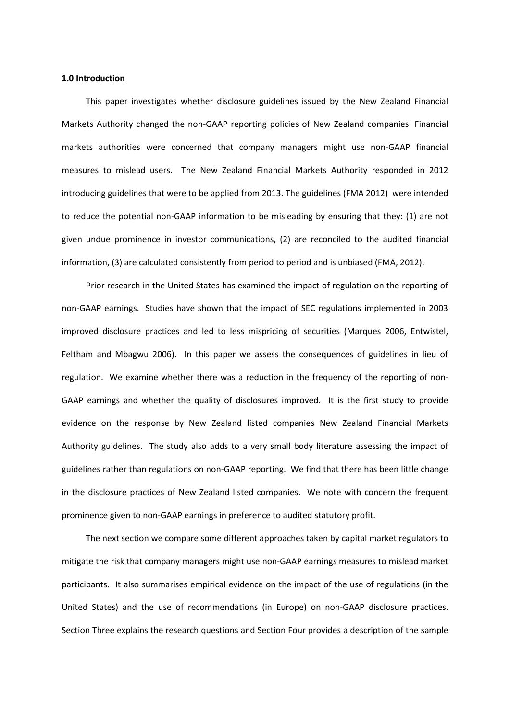#### **1.0 Introduction**

This paper investigates whether disclosure guidelines issued by the New Zealand Financial Markets Authority changed the non-GAAP reporting policies of New Zealand companies. Financial markets authorities were concerned that company managers might use non-GAAP financial measures to mislead users. The New Zealand Financial Markets Authority responded in 2012 introducing guidelines that were to be applied from 2013. The guidelines (FMA 2012) were intended to reduce the potential non-GAAP information to be misleading by ensuring that they: (1) are not given undue prominence in investor communications, (2) are reconciled to the audited financial information, (3) are calculated consistently from period to period and is unbiased (FMA, 2012).

Prior research in the United States has examined the impact of regulation on the reporting of non-GAAP earnings. Studies have shown that the impact of SEC regulations implemented in 2003 improved disclosure practices and led to less mispricing of securities (Marques 2006, Entwistel, Feltham and Mbagwu 2006). In this paper we assess the consequences of guidelines in lieu of regulation. We examine whether there was a reduction in the frequency of the reporting of non-GAAP earnings and whether the quality of disclosures improved. It is the first study to provide evidence on the response by New Zealand listed companies New Zealand Financial Markets Authority guidelines. The study also adds to a very small body literature assessing the impact of guidelines rather than regulations on non-GAAP reporting. We find that there has been little change in the disclosure practices of New Zealand listed companies. We note with concern the frequent prominence given to non-GAAP earnings in preference to audited statutory profit.

The next section we compare some different approaches taken by capital market regulators to mitigate the risk that company managers might use non-GAAP earnings measures to mislead market participants. It also summarises empirical evidence on the impact of the use of regulations (in the United States) and the use of recommendations (in Europe) on non-GAAP disclosure practices. Section Three explains the research questions and Section Four provides a description of the sample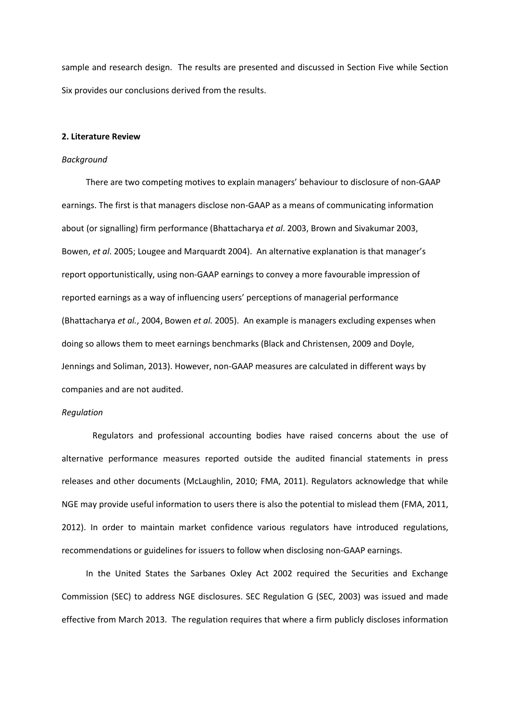sample and research design. The results are presented and discussed in Section Five while Section Six provides our conclusions derived from the results.

#### **2. Literature Review**

#### *Background*

There are two competing motives to explain managers' behaviour to disclosure of non-GAAP earnings. The first is that managers disclose non-GAAP as a means of communicating information about (or signalling) firm performance (Bhattacharya *et al*. 2003, Brown and Sivakumar 2003, Bowen, *et al*. 2005; Lougee and Marquardt 2004). An alternative explanation is that manager's report opportunistically, using non-GAAP earnings to convey a more favourable impression of reported earnings as a way of influencing users' perceptions of managerial performance (Bhattacharya *et al.*, 2004, Bowen *et al.* 2005). An example is managers excluding expenses when doing so allows them to meet earnings benchmarks (Black and Christensen, 2009 and Doyle, Jennings and Soliman, 2013). However, non-GAAP measures are calculated in different ways by companies and are not audited.

#### *Regulation*

Regulators and professional accounting bodies have raised concerns about the use of alternative performance measures reported outside the audited financial statements in press releases and other documents (McLaughlin, 2010; FMA, 2011). Regulators acknowledge that while NGE may provide useful information to users there is also the potential to mislead them (FMA, 2011, 2012). In order to maintain market confidence various regulators have introduced regulations, recommendations or guidelines for issuers to follow when disclosing non-GAAP earnings.

In the United States the Sarbanes Oxley Act 2002 required the Securities and Exchange Commission (SEC) to address NGE disclosures. SEC Regulation G (SEC, 2003) was issued and made effective from March 2013. The regulation requires that where a firm publicly discloses information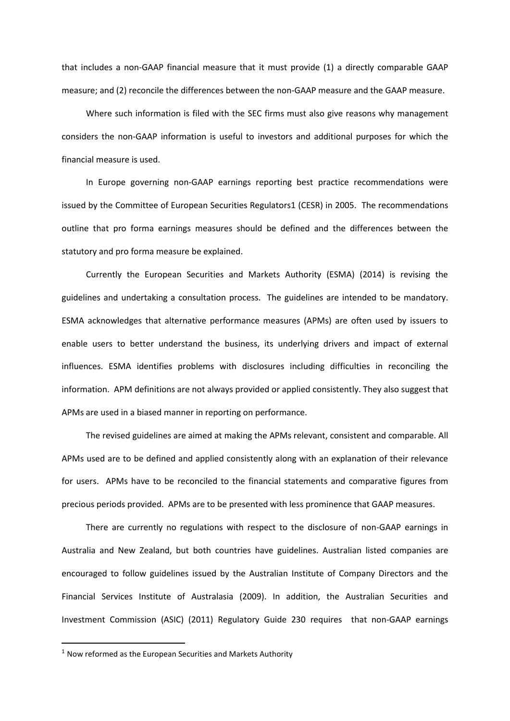that includes a non-GAAP financial measure that it must provide (1) a directly comparable GAAP measure; and (2) reconcile the differences between the non-GAAP measure and the GAAP measure.

Where such information is filed with the SEC firms must also give reasons why management considers the non-GAAP information is useful to investors and additional purposes for which the financial measure is used.

In Europe governing non-GAAP earnings reporting best practice recommendations were issued by the Committee of European Securities Regulators1 (CESR) in 2005. The recommendations outline that pro forma earnings measures should be defined and the differences between the statutory and pro forma measure be explained.

Currently the European Securities and Markets Authority (ESMA) (2014) is revising the guidelines and undertaking a consultation process. The guidelines are intended to be mandatory. ESMA acknowledges that alternative performance measures (APMs) are often used by issuers to enable users to better understand the business, its underlying drivers and impact of external influences. ESMA identifies problems with disclosures including difficulties in reconciling the information. APM definitions are not always provided or applied consistently. They also suggest that APMs are used in a biased manner in reporting on performance.

The revised guidelines are aimed at making the APMs relevant, consistent and comparable. All APMs used are to be defined and applied consistently along with an explanation of their relevance for users. APMs have to be reconciled to the financial statements and comparative figures from precious periods provided. APMs are to be presented with less prominence that GAAP measures.

There are currently no regulations with respect to the disclosure of non-GAAP earnings in Australia and New Zealand, but both countries have guidelines. Australian listed companies are encouraged to follow guidelines issued by the Australian Institute of Company Directors and the Financial Services Institute of Australasia (2009). In addition, the Australian Securities and Investment Commission (ASIC) (2011) Regulatory Guide 230 requires that non-GAAP earnings

 $\overline{a}$ 

 $1$  Now reformed as the European Securities and Markets Authority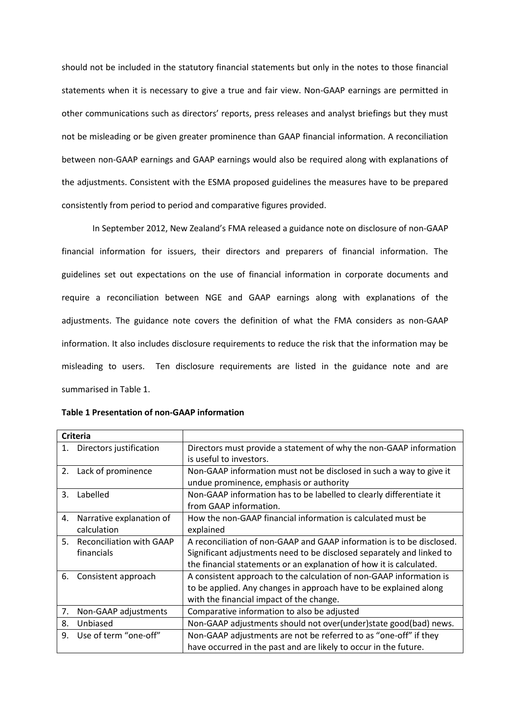should not be included in the statutory financial statements but only in the notes to those financial statements when it is necessary to give a true and fair view. Non-GAAP earnings are permitted in other communications such as directors' reports, press releases and analyst briefings but they must not be misleading or be given greater prominence than GAAP financial information. A reconciliation between non-GAAP earnings and GAAP earnings would also be required along with explanations of the adjustments. Consistent with the ESMA proposed guidelines the measures have to be prepared consistently from period to period and comparative figures provided.

In September 2012, New Zealand's FMA released a guidance note on disclosure of non-GAAP financial information for issuers, their directors and preparers of financial information. The guidelines set out expectations on the use of financial information in corporate documents and require a reconciliation between NGE and GAAP earnings along with explanations of the adjustments. The guidance note covers the definition of what the FMA considers as non-GAAP information. It also includes disclosure requirements to reduce the risk that the information may be misleading to users. Ten disclosure requirements are listed in the guidance note and are summarised in Table 1.

| <b>Criteria</b> |                                 |                                                                       |
|-----------------|---------------------------------|-----------------------------------------------------------------------|
| 1.              | Directors justification         | Directors must provide a statement of why the non-GAAP information    |
|                 |                                 | is useful to investors.                                               |
| 2.              | Lack of prominence              | Non-GAAP information must not be disclosed in such a way to give it   |
|                 |                                 | undue prominence, emphasis or authority                               |
| 3.              | Labelled                        | Non-GAAP information has to be labelled to clearly differentiate it   |
|                 |                                 | from GAAP information.                                                |
| 4.              | Narrative explanation of        | How the non-GAAP financial information is calculated must be          |
|                 | calculation                     | explained                                                             |
| 5.              | <b>Reconciliation with GAAP</b> | A reconciliation of non-GAAP and GAAP information is to be disclosed. |
|                 | financials                      | Significant adjustments need to be disclosed separately and linked to |
|                 |                                 | the financial statements or an explanation of how it is calculated.   |
| 6.              | Consistent approach             | A consistent approach to the calculation of non-GAAP information is   |
|                 |                                 | to be applied. Any changes in approach have to be explained along     |
|                 |                                 | with the financial impact of the change.                              |
| 7.              | Non-GAAP adjustments            | Comparative information to also be adjusted                           |
| 8.              | Unbiased                        | Non-GAAP adjustments should not over(under) state good(bad) news.     |
| 9.              | Use of term "one-off"           | Non-GAAP adjustments are not be referred to as "one-off" if they      |
|                 |                                 | have occurred in the past and are likely to occur in the future.      |

**Table 1 Presentation of non-GAAP information**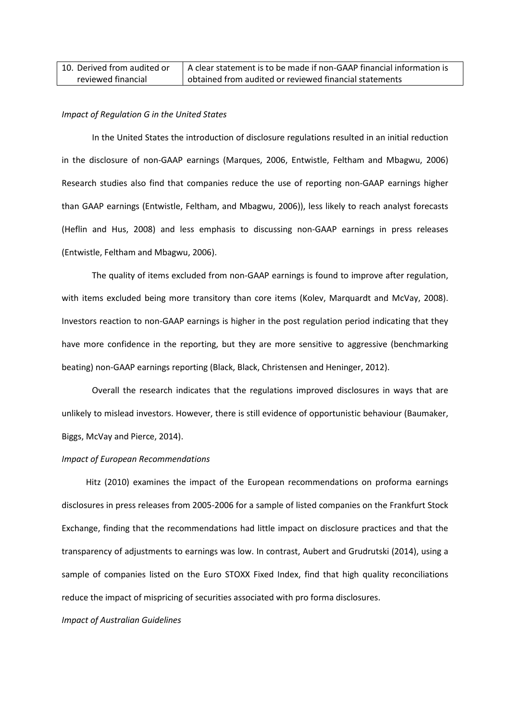| 10. Derived from audited or | A clear statement is to be made if non-GAAP financial information is |
|-----------------------------|----------------------------------------------------------------------|
| reviewed financial          | I obtained from audited or reviewed financial statements             |

#### *Impact of Regulation G in the United States*

In the United States the introduction of disclosure regulations resulted in an initial reduction in the disclosure of non-GAAP earnings (Marques, 2006, Entwistle, Feltham and Mbagwu, 2006) Research studies also find that companies reduce the use of reporting non-GAAP earnings higher than GAAP earnings (Entwistle, Feltham, and Mbagwu, 2006)), less likely to reach analyst forecasts (Heflin and Hus, 2008) and less emphasis to discussing non-GAAP earnings in press releases (Entwistle, Feltham and Mbagwu, 2006).

The quality of items excluded from non-GAAP earnings is found to improve after regulation, with items excluded being more transitory than core items (Kolev, Marquardt and McVay, 2008). Investors reaction to non-GAAP earnings is higher in the post regulation period indicating that they have more confidence in the reporting, but they are more sensitive to aggressive (benchmarking beating) non-GAAP earnings reporting (Black, Black, Christensen and Heninger, 2012).

Overall the research indicates that the regulations improved disclosures in ways that are unlikely to mislead investors. However, there is still evidence of opportunistic behaviour (Baumaker, Biggs, McVay and Pierce, 2014).

#### *Impact of European Recommendations*

Hitz (2010) examines the impact of the European recommendations on proforma earnings disclosures in press releases from 2005-2006 for a sample of listed companies on the Frankfurt Stock Exchange, finding that the recommendations had little impact on disclosure practices and that the transparency of adjustments to earnings was low. In contrast, Aubert and Grudrutski (2014), using a sample of companies listed on the Euro STOXX Fixed Index, find that high quality reconciliations reduce the impact of mispricing of securities associated with pro forma disclosures.

#### *Impact of Australian Guidelines*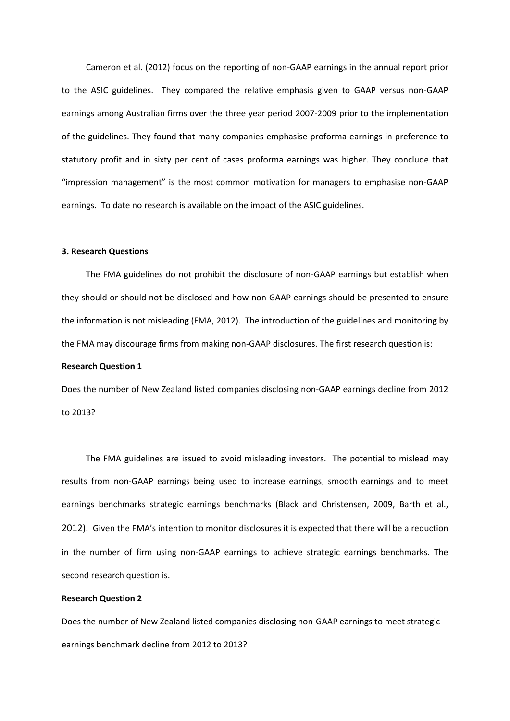Cameron et al. (2012) focus on the reporting of non-GAAP earnings in the annual report prior to the ASIC guidelines. They compared the relative emphasis given to GAAP versus non-GAAP earnings among Australian firms over the three year period 2007-2009 prior to the implementation of the guidelines. They found that many companies emphasise proforma earnings in preference to statutory profit and in sixty per cent of cases proforma earnings was higher. They conclude that "impression management" is the most common motivation for managers to emphasise non-GAAP earnings. To date no research is available on the impact of the ASIC guidelines.

#### **3. Research Questions**

The FMA guidelines do not prohibit the disclosure of non-GAAP earnings but establish when they should or should not be disclosed and how non-GAAP earnings should be presented to ensure the information is not misleading (FMA, 2012). The introduction of the guidelines and monitoring by the FMA may discourage firms from making non-GAAP disclosures. The first research question is:

#### **Research Question 1**

Does the number of New Zealand listed companies disclosing non-GAAP earnings decline from 2012 to 2013?

The FMA guidelines are issued to avoid misleading investors. The potential to mislead may results from non-GAAP earnings being used to increase earnings, smooth earnings and to meet earnings benchmarks strategic earnings benchmarks (Black and Christensen, 2009, Barth et al., 2012). Given the FMA's intention to monitor disclosures it is expected that there will be a reduction in the number of firm using non-GAAP earnings to achieve strategic earnings benchmarks. The second research question is.

#### **Research Question 2**

Does the number of New Zealand listed companies disclosing non-GAAP earnings to meet strategic earnings benchmark decline from 2012 to 2013?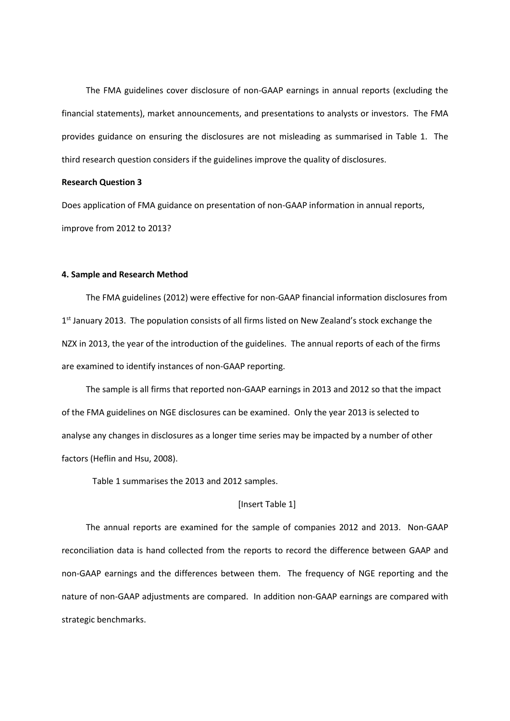The FMA guidelines cover disclosure of non-GAAP earnings in annual reports (excluding the financial statements), market announcements, and presentations to analysts or investors. The FMA provides guidance on ensuring the disclosures are not misleading as summarised in Table 1. The third research question considers if the guidelines improve the quality of disclosures.

#### **Research Question 3**

Does application of FMA guidance on presentation of non-GAAP information in annual reports, improve from 2012 to 2013?

#### **4. Sample and Research Method**

The FMA guidelines (2012) were effective for non-GAAP financial information disclosures from 1<sup>st</sup> January 2013. The population consists of all firms listed on New Zealand's stock exchange the NZX in 2013, the year of the introduction of the guidelines. The annual reports of each of the firms are examined to identify instances of non-GAAP reporting.

The sample is all firms that reported non-GAAP earnings in 2013 and 2012 so that the impact of the FMA guidelines on NGE disclosures can be examined. Only the year 2013 is selected to analyse any changes in disclosures as a longer time series may be impacted by a number of other factors (Heflin and Hsu, 2008).

Table 1 summarises the 2013 and 2012 samples.

#### [Insert Table 1]

The annual reports are examined for the sample of companies 2012 and 2013. Non-GAAP reconciliation data is hand collected from the reports to record the difference between GAAP and non-GAAP earnings and the differences between them. The frequency of NGE reporting and the nature of non-GAAP adjustments are compared. In addition non-GAAP earnings are compared with strategic benchmarks.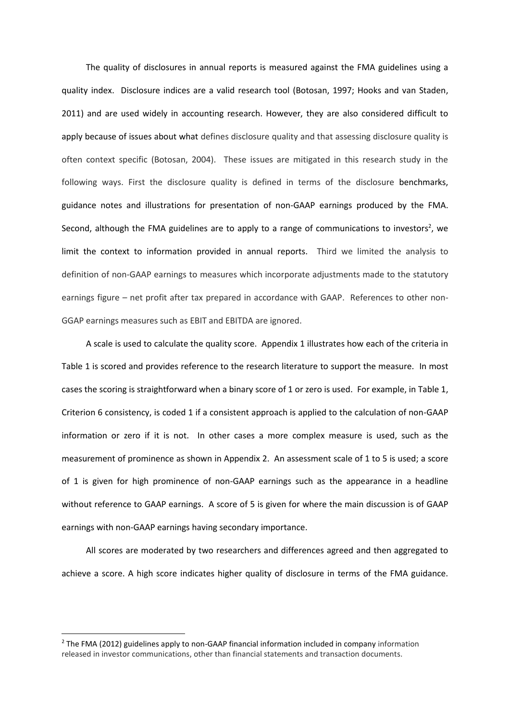The quality of disclosures in annual reports is measured against the FMA guidelines using a quality index. Disclosure indices are a valid research tool (Botosan, 1997; Hooks and van Staden, 2011) and are used widely in accounting research. However, they are also considered difficult to apply because of issues about what defines disclosure quality and that assessing disclosure quality is often context specific (Botosan, 2004). These issues are mitigated in this research study in the following ways. First the disclosure quality is defined in terms of the disclosure benchmarks, guidance notes and illustrations for presentation of non-GAAP earnings produced by the FMA. Second, although the FMA guidelines are to apply to a range of communications to investors<sup>2</sup>, we limit the context to information provided in annual reports. Third we limited the analysis to definition of non-GAAP earnings to measures which incorporate adjustments made to the statutory earnings figure – net profit after tax prepared in accordance with GAAP. References to other non-GGAP earnings measures such as EBIT and EBITDA are ignored.

A scale is used to calculate the quality score. Appendix 1 illustrates how each of the criteria in Table 1 is scored and provides reference to the research literature to support the measure. In most cases the scoring is straightforward when a binary score of 1 or zero is used. For example, in Table 1, Criterion 6 consistency, is coded 1 if a consistent approach is applied to the calculation of non-GAAP information or zero if it is not. In other cases a more complex measure is used, such as the measurement of prominence as shown in Appendix 2. An assessment scale of 1 to 5 is used; a score of 1 is given for high prominence of non-GAAP earnings such as the appearance in a headline without reference to GAAP earnings. A score of 5 is given for where the main discussion is of GAAP earnings with non-GAAP earnings having secondary importance.

All scores are moderated by two researchers and differences agreed and then aggregated to achieve a score. A high score indicates higher quality of disclosure in terms of the FMA guidance.

**.** 

 $2$  The FMA (2012) guidelines apply to non-GAAP financial information included in company information released in investor communications, other than financial statements and transaction documents.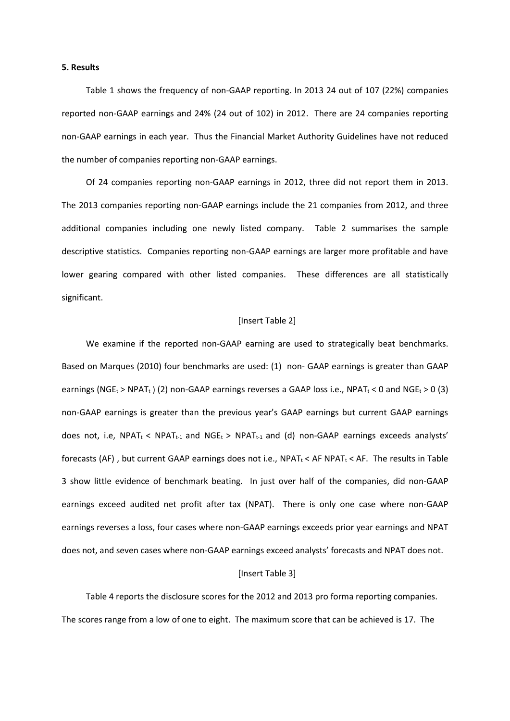#### **5. Results**

Table 1 shows the frequency of non-GAAP reporting. In 2013 24 out of 107 (22%) companies reported non-GAAP earnings and 24% (24 out of 102) in 2012. There are 24 companies reporting non-GAAP earnings in each year. Thus the Financial Market Authority Guidelines have not reduced the number of companies reporting non-GAAP earnings.

Of 24 companies reporting non-GAAP earnings in 2012, three did not report them in 2013. The 2013 companies reporting non-GAAP earnings include the 21 companies from 2012, and three additional companies including one newly listed company. Table 2 summarises the sample descriptive statistics. Companies reporting non-GAAP earnings are larger more profitable and have lower gearing compared with other listed companies. These differences are all statistically significant.

#### [Insert Table 2]

We examine if the reported non-GAAP earning are used to strategically beat benchmarks. Based on Marques (2010) four benchmarks are used: (1) non- GAAP earnings is greater than GAAP earnings (NGE<sub>t</sub> > NPAT<sub>t</sub>) (2) non-GAAP earnings reverses a GAAP loss i.e., NPAT<sub>t</sub> < 0 and NGE<sub>t</sub> > 0 (3) non-GAAP earnings is greater than the previous year's GAAP earnings but current GAAP earnings does not, i.e, NPAT<sub>t</sub> < NPAT<sub>t-1</sub> and NGE<sub>t</sub> > NPAT<sub>t-1</sub> and (d) non-GAAP earnings exceeds analysts' forecasts (AF), but current GAAP earnings does not i.e.,  $NPAT_t < AF$  NPAT<sub>t</sub> < AF. The results in Table 3 show little evidence of benchmark beating. In just over half of the companies, did non-GAAP earnings exceed audited net profit after tax (NPAT). There is only one case where non-GAAP earnings reverses a loss, four cases where non-GAAP earnings exceeds prior year earnings and NPAT does not, and seven cases where non-GAAP earnings exceed analysts' forecasts and NPAT does not.

#### [Insert Table 3]

Table 4 reports the disclosure scores for the 2012 and 2013 pro forma reporting companies. The scores range from a low of one to eight. The maximum score that can be achieved is 17. The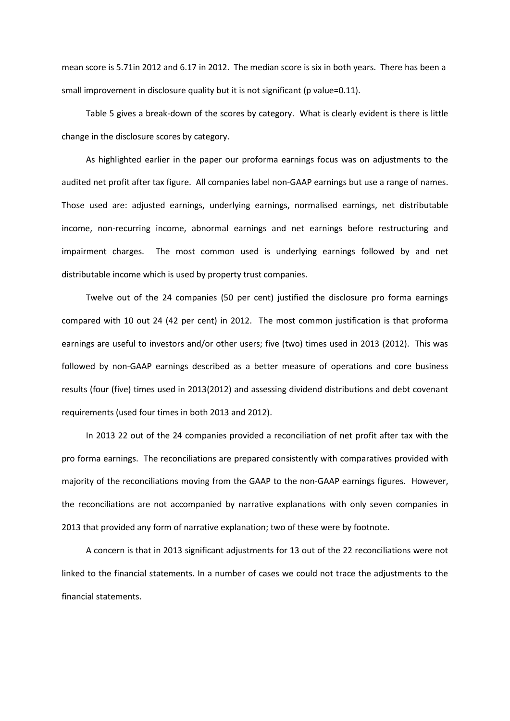mean score is 5.71in 2012 and 6.17 in 2012. The median score is six in both years. There has been a small improvement in disclosure quality but it is not significant (p value=0.11).

Table 5 gives a break-down of the scores by category. What is clearly evident is there is little change in the disclosure scores by category.

As highlighted earlier in the paper our proforma earnings focus was on adjustments to the audited net profit after tax figure. All companies label non-GAAP earnings but use a range of names. Those used are: adjusted earnings, underlying earnings, normalised earnings, net distributable income, non-recurring income, abnormal earnings and net earnings before restructuring and impairment charges. The most common used is underlying earnings followed by and net distributable income which is used by property trust companies.

Twelve out of the 24 companies (50 per cent) justified the disclosure pro forma earnings compared with 10 out 24 (42 per cent) in 2012. The most common justification is that proforma earnings are useful to investors and/or other users; five (two) times used in 2013 (2012). This was followed by non-GAAP earnings described as a better measure of operations and core business results (four (five) times used in 2013(2012) and assessing dividend distributions and debt covenant requirements (used four times in both 2013 and 2012).

In 2013 22 out of the 24 companies provided a reconciliation of net profit after tax with the pro forma earnings. The reconciliations are prepared consistently with comparatives provided with majority of the reconciliations moving from the GAAP to the non-GAAP earnings figures. However, the reconciliations are not accompanied by narrative explanations with only seven companies in 2013 that provided any form of narrative explanation; two of these were by footnote.

A concern is that in 2013 significant adjustments for 13 out of the 22 reconciliations were not linked to the financial statements. In a number of cases we could not trace the adjustments to the financial statements.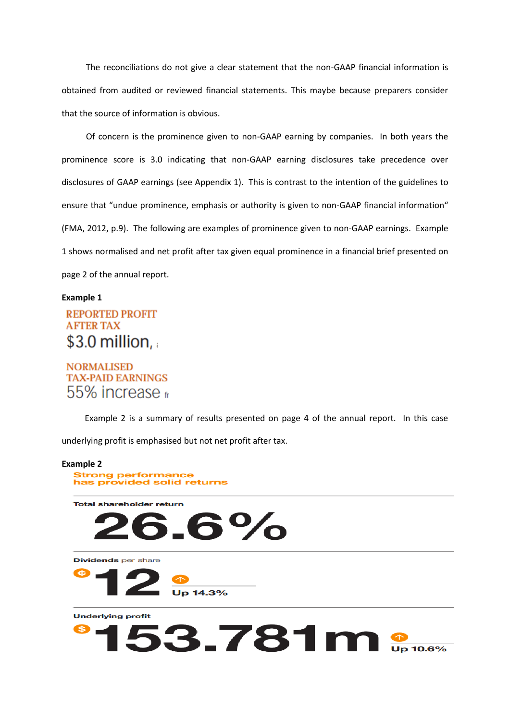The reconciliations do not give a clear statement that the non-GAAP financial information is obtained from audited or reviewed financial statements. This maybe because preparers consider that the source of information is obvious.

Of concern is the prominence given to non-GAAP earning by companies. In both years the prominence score is 3.0 indicating that non-GAAP earning disclosures take precedence over disclosures of GAAP earnings (see Appendix 1). This is contrast to the intention of the guidelines to ensure that "undue prominence, emphasis or authority is given to non-GAAP financial information" (FMA, 2012, p.9). The following are examples of prominence given to non-GAAP earnings. Example 1 shows normalised and net profit after tax given equal prominence in a financial brief presented on page 2 of the annual report.

#### **Example 1**

# **REPORTED PROFIT AFTER TAX** \$3.0 million,

# **NORMALISED TAX-PAID EARNINGS** 55% increase fi

Example 2 is a summary of results presented on page 4 of the annual report. In this case underlying profit is emphasised but not net profit after tax.

#### **Example 2**

**Strong performance** has provided solid returns

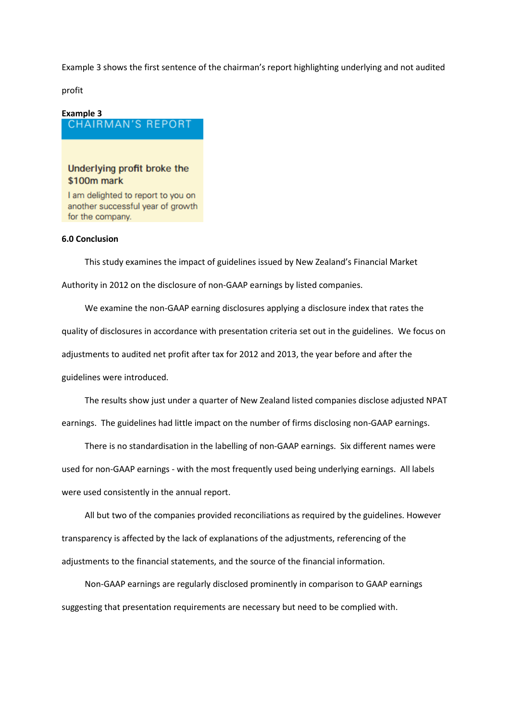Example 3 shows the first sentence of the chairman's report highlighting underlying and not audited

profit

# Example 3<br>CHAIRMAN'S REPORT

# Underlying profit broke the \$100m mark

I am delighted to report to you on another successful year of growth for the company.

### **6.0 Conclusion**

This study examines the impact of guidelines issued by New Zealand's Financial Market Authority in 2012 on the disclosure of non-GAAP earnings by listed companies.

We examine the non-GAAP earning disclosures applying a disclosure index that rates the quality of disclosures in accordance with presentation criteria set out in the guidelines. We focus on adjustments to audited net profit after tax for 2012 and 2013, the year before and after the guidelines were introduced.

The results show just under a quarter of New Zealand listed companies disclose adjusted NPAT earnings. The guidelines had little impact on the number of firms disclosing non-GAAP earnings.

There is no standardisation in the labelling of non-GAAP earnings. Six different names were used for non-GAAP earnings - with the most frequently used being underlying earnings. All labels were used consistently in the annual report.

All but two of the companies provided reconciliations as required by the guidelines. However transparency is affected by the lack of explanations of the adjustments, referencing of the adjustments to the financial statements, and the source of the financial information.

Non-GAAP earnings are regularly disclosed prominently in comparison to GAAP earnings suggesting that presentation requirements are necessary but need to be complied with.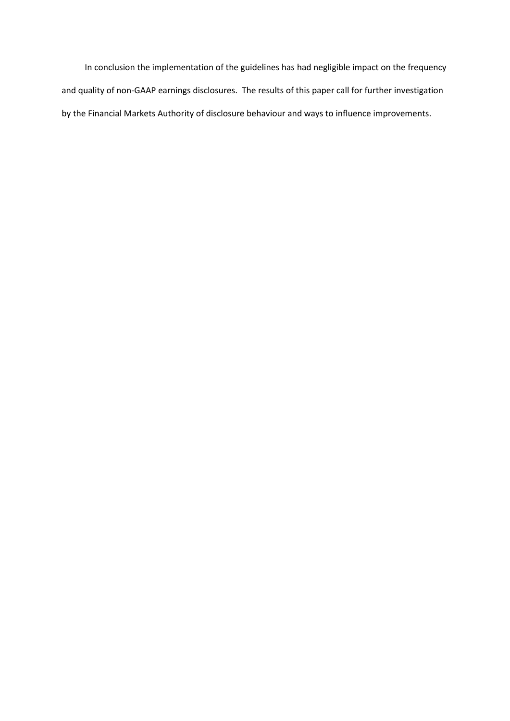In conclusion the implementation of the guidelines has had negligible impact on the frequency and quality of non-GAAP earnings disclosures. The results of this paper call for further investigation by the Financial Markets Authority of disclosure behaviour and ways to influence improvements.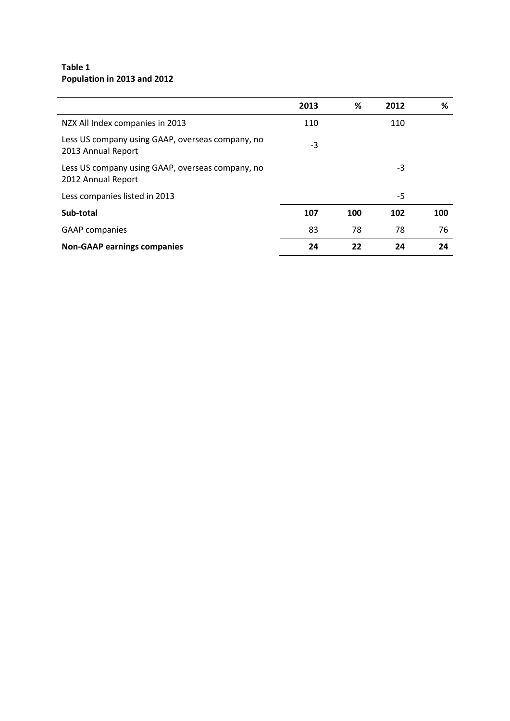## **Table 1 Population in 2013 and 2012**

|                                                                        | 2013 | %   | 2012 | %   |
|------------------------------------------------------------------------|------|-----|------|-----|
| NZX All Index companies in 2013                                        | 110  |     | 110  |     |
| Less US company using GAAP, overseas company, no<br>2013 Annual Report | -3   |     |      |     |
| Less US company using GAAP, overseas company, no<br>2012 Annual Report |      |     | $-3$ |     |
| Less companies listed in 2013                                          |      |     | -5   |     |
| Sub-total                                                              | 107  | 100 | 102  | 100 |
| <b>GAAP</b> companies                                                  | 83   | 78  | 78   | 76  |
| <b>Non-GAAP earnings companies</b>                                     | 24   | 22  | 24   | 24  |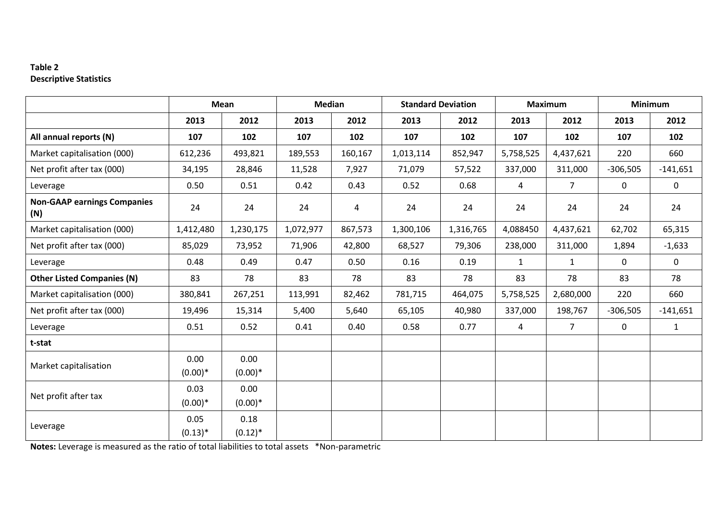## **Table 2 Descriptive Statistics**

|                                           |                   | <b>Mean</b>       | <b>Median</b> |         |           | <b>Standard Deviation</b> |                | <b>Maximum</b> | <b>Minimum</b> |              |
|-------------------------------------------|-------------------|-------------------|---------------|---------|-----------|---------------------------|----------------|----------------|----------------|--------------|
|                                           | 2013              | 2012              | 2013          | 2012    | 2013      | 2012                      | 2013           | 2012           | 2013           | 2012         |
| All annual reports (N)                    | 107               | 102               | 107           | 102     | 107       | 102                       | 107            | 102            | 107            | 102          |
| Market capitalisation (000)               | 612,236           | 493,821           | 189,553       | 160,167 | 1,013,114 | 852,947                   | 5,758,525      | 4,437,621      | 220            | 660          |
| Net profit after tax (000)                | 34,195            | 28,846            | 11,528        | 7,927   | 71,079    | 57,522                    | 337,000        | 311,000        | $-306,505$     | $-141,651$   |
| Leverage                                  | 0.50              | 0.51              | 0.42          | 0.43    | 0.52      | 0.68                      | $\overline{4}$ | $\overline{7}$ | $\mathbf 0$    | $\mathbf 0$  |
| <b>Non-GAAP earnings Companies</b><br>(N) | 24                | 24                | 24            | 4       | 24        | 24                        | 24             | 24             | 24             | 24           |
| Market capitalisation (000)               | 1,412,480         | 1,230,175         | 1,072,977     | 867,573 | 1,300,106 | 1,316,765                 | 4,088450       | 4,437,621      | 62,702         | 65,315       |
| Net profit after tax (000)                | 85,029            | 73,952            | 71,906        | 42,800  | 68,527    | 79,306                    | 238,000        | 311,000        | 1,894          | $-1,633$     |
| Leverage                                  | 0.48              | 0.49              | 0.47          | 0.50    | 0.16      | 0.19                      | $\mathbf{1}$   | $\mathbf{1}$   | $\mathbf 0$    | $\mathbf{0}$ |
| <b>Other Listed Companies (N)</b>         | 83                | 78                | 83            | 78      | 83        | 78                        | 83             | 78             | 83             | 78           |
| Market capitalisation (000)               | 380,841           | 267,251           | 113,991       | 82,462  | 781,715   | 464,075                   | 5,758,525      | 2,680,000      | 220            | 660          |
| Net profit after tax (000)                | 19,496            | 15,314            | 5,400         | 5,640   | 65,105    | 40,980                    | 337,000        | 198,767        | $-306,505$     | $-141,651$   |
| Leverage                                  | 0.51              | 0.52              | 0.41          | 0.40    | 0.58      | 0.77                      | $\overline{4}$ | $\overline{7}$ | $\mathbf 0$    | $\mathbf{1}$ |
| t-stat                                    |                   |                   |               |         |           |                           |                |                |                |              |
| Market capitalisation                     | 0.00<br>$(0.00)*$ | 0.00<br>$(0.00)*$ |               |         |           |                           |                |                |                |              |
| Net profit after tax                      | 0.03<br>$(0.00)*$ | 0.00<br>$(0.00)*$ |               |         |           |                           |                |                |                |              |
| Leverage                                  | 0.05<br>$(0.13)*$ | 0.18<br>$(0.12)*$ |               |         |           |                           |                |                |                |              |

**Notes:** Leverage is measured as the ratio of total liabilities to total assets \*Non-parametric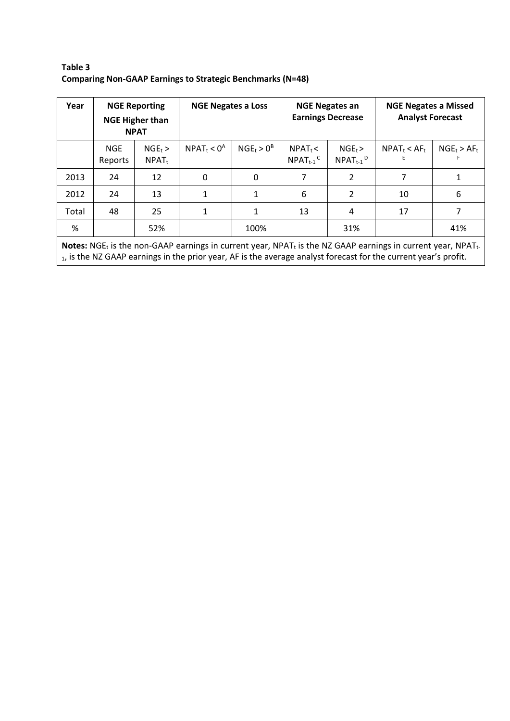| Year  | <b>NGE Reporting</b><br><b>NGE Higher than</b><br><b>NPAT</b> |                       | <b>NGE Negates a Loss</b> |               | <b>NGE Negates an</b><br><b>Earnings Decrease</b> |                                       | <b>NGE Negates a Missed</b><br><b>Analyst Forecast</b> |                |
|-------|---------------------------------------------------------------|-----------------------|---------------------------|---------------|---------------------------------------------------|---------------------------------------|--------------------------------------------------------|----------------|
|       | <b>NGE</b><br>Reports                                         | $NGE_t$ ><br>$NPAT_t$ | $NPAT_t < 0^A$            | $NGE_t > 0^B$ | $NPAT_t <$<br>$NPATH_{t-1}$ <sup>C</sup>          | $NGE_t$<br>$NPATH_{t-1}$ <sup>D</sup> | $NPAT_t < AF_t$<br>E                                   | $NGE_t > AF_t$ |
| 2013  | 24                                                            | 12                    | 0                         | 0             | 7                                                 | 2                                     | 7                                                      | 1              |
| 2012  | 24                                                            | 13                    | 1                         | 1             | 6                                                 | $\overline{2}$                        | 10                                                     | 6              |
| Total | 48                                                            | 25                    |                           | 1             | 13                                                | 4                                     | 17                                                     | 7              |
| %     |                                                               | 52%                   |                           | 100%          |                                                   | 31%                                   |                                                        | 41%            |

## **Table 3 Comparing Non-GAAP Earnings to Strategic Benchmarks (N=48)**

Notes: NGE<sub>t</sub> is the non-GAAP earnings in current year, NPAT<sub>t</sub> is the NZ GAAP earnings in current year, NPAT<sub>t-</sub> 1, is the NZ GAAP earnings in the prior year, AF is the average analyst forecast for the current year's profit.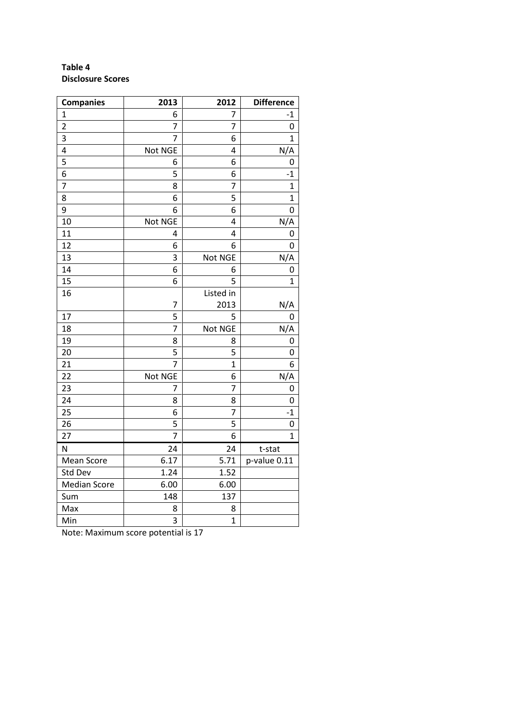# **Table 4 Disclosure Scores**

| <b>Companies</b>    | 2013           | 2012           | <b>Difference</b> |
|---------------------|----------------|----------------|-------------------|
| 1                   | 6              | 7              | -1                |
| $\overline{2}$      | 7              | 7              | 0                 |
| 3                   | 7              | 6              | 1                 |
| 4                   | Not NGE        | 4              | N/A               |
| 5                   | 6              | 6              | 0                 |
| 6                   | 5              | 6              | $-1$              |
| $\overline{7}$      | 8              | 7              | $\mathbf{1}$      |
| 8                   | 6              | 5              | $\overline{1}$    |
| 9                   | 6              | 6              | $\overline{0}$    |
| 10                  | Not NGE        | 4              | N/A               |
| 11                  | 4              | 4              | 0                 |
| 12                  | 6              | 6              | 0                 |
| 13                  | 3              | Not NGE        | N/A               |
| 14                  | 6              | 6              | 0                 |
| 15                  | 6              | 5              | 1                 |
| 16                  |                | Listed in      |                   |
|                     | 7              | 2013           | N/A               |
| 17                  | 5              | 5              | 0                 |
| 18                  | $\overline{7}$ | Not NGE        | N/A               |
| 19                  | 8              | 8              | 0                 |
| 20                  | 5              | 5              | 0                 |
| 21                  | $\overline{7}$ | $\mathbf{1}$   | 6                 |
| 22                  | Not NGE        | 6              | N/A               |
| 23                  | 7              | $\overline{7}$ | 0                 |
| 24                  | 8              | 8              | 0                 |
| 25                  | 6              | 7              | $-1$              |
| 26                  | 5              | 5              | 0                 |
| 27                  | $\overline{7}$ | 6              | 1                 |
| N                   | 24             | 24             | t-stat            |
| Mean Score          | 6.17           | 5.71           | p-value 0.11      |
| Std Dev             | 1.24           | 1.52           |                   |
| <b>Median Score</b> | 6.00           | 6.00           |                   |
| Sum                 | 148            | 137            |                   |
| Max                 | 8              | 8              |                   |
| Min                 | 3              | $\overline{1}$ |                   |

Note: Maximum score potential is 17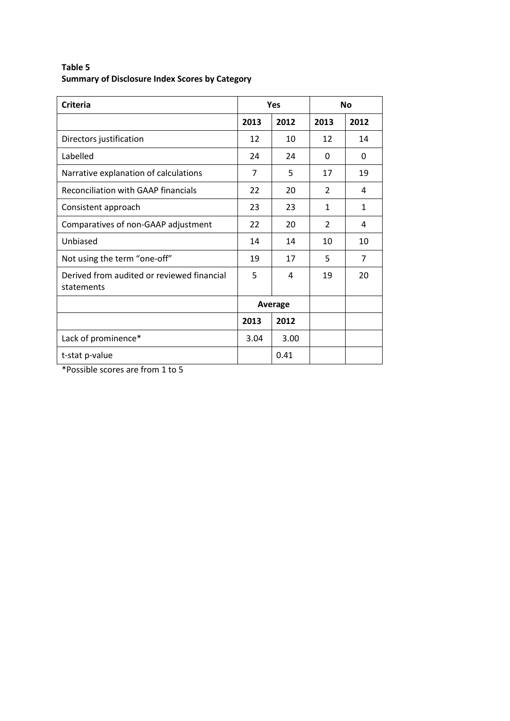| <b>Criteria</b>                                          |         | Yes  |      | <b>No</b>    |  |
|----------------------------------------------------------|---------|------|------|--------------|--|
|                                                          | 2013    | 2012 | 2013 | 2012         |  |
| Directors justification                                  | 12      | 10   | 12   | 14           |  |
| Labelled                                                 | 24      | 24   | 0    | 0            |  |
| Narrative explanation of calculations                    | 7       | 5    | 17   | 19           |  |
| <b>Reconciliation with GAAP financials</b>               | 22      | 20   | 2    | 4            |  |
| Consistent approach                                      | 23      | 23   | 1    | $\mathbf{1}$ |  |
| Comparatives of non-GAAP adjustment                      | 22      | 20   | 2    | 4            |  |
| Unbiased                                                 | 14      | 14   | 10   | 10           |  |
| Not using the term "one-off"                             | 19      | 17   | 5    | 7            |  |
| Derived from audited or reviewed financial<br>statements | 5       | 4    | 19   | 20           |  |
|                                                          | Average |      |      |              |  |
|                                                          | 2013    | 2012 |      |              |  |
| Lack of prominence*                                      | 3.04    | 3.00 |      |              |  |
| t-stat p-value                                           |         | 0.41 |      |              |  |

# **Table 5 Summary of Disclosure Index Scores by Category**

\*Possible scores are from 1 to 5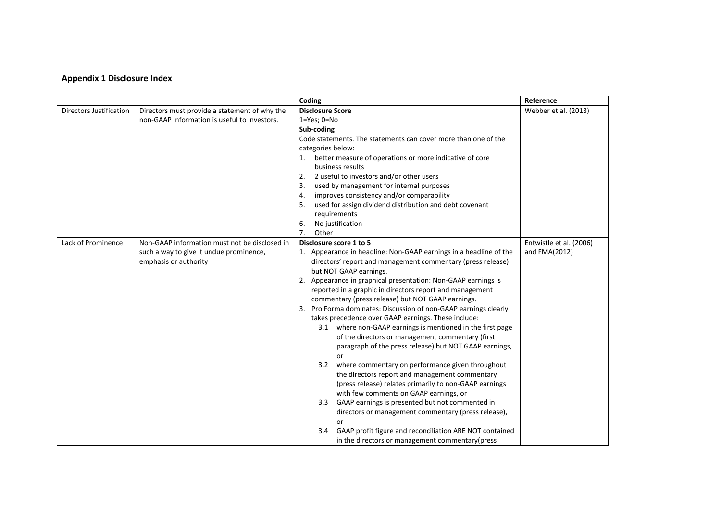## **Appendix 1 Disclosure Index**

|                                |                                               | Coding                                                             | Reference               |
|--------------------------------|-----------------------------------------------|--------------------------------------------------------------------|-------------------------|
| <b>Directors Justification</b> | Directors must provide a statement of why the | <b>Disclosure Score</b>                                            | Webber et al. (2013)    |
|                                | non-GAAP information is useful to investors.  | $1 = Yes$ ; $0 = No$                                               |                         |
|                                |                                               | Sub-coding                                                         |                         |
|                                |                                               | Code statements. The statements can cover more than one of the     |                         |
|                                |                                               | categories below:                                                  |                         |
|                                |                                               | better measure of operations or more indicative of core            |                         |
|                                |                                               | business results                                                   |                         |
|                                |                                               | 2 useful to investors and/or other users<br>2.                     |                         |
|                                |                                               | used by management for internal purposes<br>3.                     |                         |
|                                |                                               | improves consistency and/or comparability<br>4.                    |                         |
|                                |                                               | used for assign dividend distribution and debt covenant<br>5.      |                         |
|                                |                                               | requirements                                                       |                         |
|                                |                                               | No justification<br>6.                                             |                         |
|                                |                                               | Other<br>7.                                                        |                         |
| Lack of Prominence             | Non-GAAP information must not be disclosed in | Disclosure score 1 to 5                                            | Entwistle et al. (2006) |
|                                | such a way to give it undue prominence,       | 1. Appearance in headline: Non-GAAP earnings in a headline of the  | and FMA(2012)           |
|                                | emphasis or authority                         | directors' report and management commentary (press release)        |                         |
|                                |                                               | but NOT GAAP earnings.                                             |                         |
|                                |                                               | Appearance in graphical presentation: Non-GAAP earnings is<br>2.   |                         |
|                                |                                               | reported in a graphic in directors report and management           |                         |
|                                |                                               | commentary (press release) but NOT GAAP earnings.                  |                         |
|                                |                                               | Pro Forma dominates: Discussion of non-GAAP earnings clearly<br>3. |                         |
|                                |                                               | takes precedence over GAAP earnings. These include:                |                         |
|                                |                                               | 3.1 where non-GAAP earnings is mentioned in the first page         |                         |
|                                |                                               | of the directors or management commentary (first                   |                         |
|                                |                                               | paragraph of the press release) but NOT GAAP earnings,             |                         |
|                                |                                               | or                                                                 |                         |
|                                |                                               | 3.2 where commentary on performance given throughout               |                         |
|                                |                                               | the directors report and management commentary                     |                         |
|                                |                                               | (press release) relates primarily to non-GAAP earnings             |                         |
|                                |                                               | with few comments on GAAP earnings, or                             |                         |
|                                |                                               | GAAP earnings is presented but not commented in<br>$3.3^{\circ}$   |                         |
|                                |                                               | directors or management commentary (press release),                |                         |
|                                |                                               | or                                                                 |                         |
|                                |                                               | 3.4 GAAP profit figure and reconciliation ARE NOT contained        |                         |
|                                |                                               | in the directors or management commentary (press                   |                         |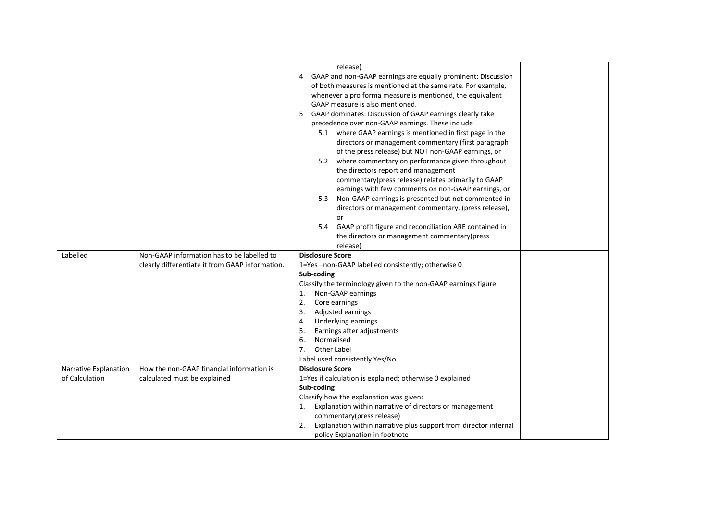|                       |                                                 | release)                                                               |
|-----------------------|-------------------------------------------------|------------------------------------------------------------------------|
|                       |                                                 | GAAP and non-GAAP earnings are equally prominent: Discussion<br>4      |
|                       |                                                 | of both measures is mentioned at the same rate. For example,           |
|                       |                                                 | whenever a pro forma measure is mentioned, the equivalent              |
|                       |                                                 | GAAP measure is also mentioned.                                        |
|                       |                                                 | GAAP dominates: Discussion of GAAP earnings clearly take<br>5          |
|                       |                                                 | precedence over non-GAAP earnings. These include                       |
|                       |                                                 | 5.1 where GAAP earnings is mentioned in first page in the              |
|                       |                                                 | directors or management commentary (first paragraph                    |
|                       |                                                 | of the press release) but NOT non-GAAP earnings, or                    |
|                       |                                                 | 5.2 where commentary on performance given throughout                   |
|                       |                                                 | the directors report and management                                    |
|                       |                                                 | commentary(press release) relates primarily to GAAP                    |
|                       |                                                 | earnings with few comments on non-GAAP earnings, or                    |
|                       |                                                 | Non-GAAP earnings is presented but not commented in<br>5.3             |
|                       |                                                 | directors or management commentary. (press release),                   |
|                       |                                                 | or                                                                     |
|                       |                                                 | GAAP profit figure and reconciliation ARE contained in<br>5.4          |
|                       |                                                 | the directors or management commentary (press                          |
|                       |                                                 | release)                                                               |
| Labelled              | Non-GAAP information has to be labelled to      | <b>Disclosure Score</b>                                                |
|                       | clearly differentiate it from GAAP information. | 1=Yes-non-GAAP labelled consistently; otherwise 0                      |
|                       |                                                 | Sub-coding                                                             |
|                       |                                                 | Classify the terminology given to the non-GAAP earnings figure         |
|                       |                                                 | Non-GAAP earnings<br>1.                                                |
|                       |                                                 | 2.<br>Core earnings                                                    |
|                       |                                                 | 3.<br>Adjusted earnings                                                |
|                       |                                                 | Underlying earnings<br>4.                                              |
|                       |                                                 | 5.<br>Earnings after adjustments                                       |
|                       |                                                 | Normalised<br>6.                                                       |
|                       |                                                 | <b>Other Label</b><br>7.                                               |
|                       |                                                 | Label used consistently Yes/No                                         |
| Narrative Explanation | How the non-GAAP financial information is       | <b>Disclosure Score</b>                                                |
| of Calculation        | calculated must be explained                    | 1=Yes if calculation is explained; otherwise 0 explained               |
|                       |                                                 | Sub-coding                                                             |
|                       |                                                 | Classify how the explanation was given:                                |
|                       |                                                 | Explanation within narrative of directors or management                |
|                       |                                                 | commentary(press release)                                              |
|                       |                                                 | Explanation within narrative plus support from director internal<br>2. |
|                       |                                                 | policy Explanation in footnote                                         |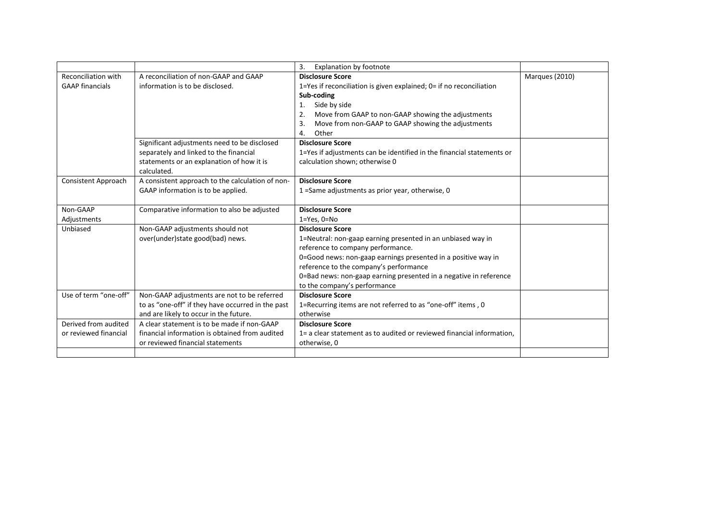|                                                      |                                                                                                                                                    | <b>Explanation by footnote</b><br>3.                                                                                                                                                                                                                                                                                                        |                |
|------------------------------------------------------|----------------------------------------------------------------------------------------------------------------------------------------------------|---------------------------------------------------------------------------------------------------------------------------------------------------------------------------------------------------------------------------------------------------------------------------------------------------------------------------------------------|----------------|
| <b>Reconciliation with</b><br><b>GAAP financials</b> | A reconciliation of non-GAAP and GAAP<br>information is to be disclosed.                                                                           | <b>Disclosure Score</b><br>1=Yes if reconciliation is given explained; 0= if no reconciliation<br>Sub-coding<br>Side by side<br>Move from GAAP to non-GAAP showing the adjustments<br>2.<br>Move from non-GAAP to GAAP showing the adjustments<br>3.<br>Other<br>4.                                                                         | Marques (2010) |
|                                                      | Significant adjustments need to be disclosed<br>separately and linked to the financial<br>statements or an explanation of how it is<br>calculated. | <b>Disclosure Score</b><br>1=Yes if adjustments can be identified in the financial statements or<br>calculation shown; otherwise 0                                                                                                                                                                                                          |                |
| <b>Consistent Approach</b>                           | A consistent approach to the calculation of non-<br>GAAP information is to be applied.                                                             | <b>Disclosure Score</b><br>1 = Same adjustments as prior year, otherwise, 0                                                                                                                                                                                                                                                                 |                |
| Non-GAAP<br>Adjustments                              | Comparative information to also be adjusted                                                                                                        | <b>Disclosure Score</b><br>$1 = Yes, 0 = No$                                                                                                                                                                                                                                                                                                |                |
| Unbiased                                             | Non-GAAP adjustments should not<br>over(under)state good(bad) news.                                                                                | <b>Disclosure Score</b><br>1=Neutral: non-gaap earning presented in an unbiased way in<br>reference to company performance.<br>0=Good news: non-gaap earnings presented in a positive way in<br>reference to the company's performance<br>0=Bad news: non-gaap earning presented in a negative in reference<br>to the company's performance |                |
| Use of term "one-off"                                | Non-GAAP adjustments are not to be referred<br>to as "one-off" if they have occurred in the past<br>and are likely to occur in the future.         | <b>Disclosure Score</b><br>1=Recurring items are not referred to as "one-off" items, 0<br>otherwise                                                                                                                                                                                                                                         |                |
| Derived from audited<br>or reviewed financial        | A clear statement is to be made if non-GAAP<br>financial information is obtained from audited<br>or reviewed financial statements                  | <b>Disclosure Score</b><br>1= a clear statement as to audited or reviewed financial information,<br>otherwise, 0                                                                                                                                                                                                                            |                |
|                                                      |                                                                                                                                                    |                                                                                                                                                                                                                                                                                                                                             |                |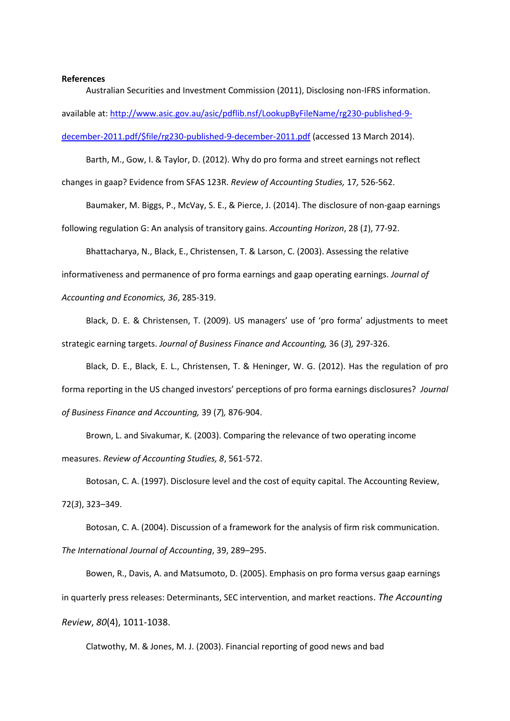#### **References**

Australian Securities and Investment Commission (2011), Disclosing non-IFRS information. available at[: http://www.asic.gov.au/asic/pdflib.nsf/LookupByFileName/rg230-published-9](http://www.asic.gov.au/asic/pdflib.nsf/LookupByFileName/rg230-published-9-december-2011.pdf/$file/rg230-published-9-december-2011.pdf) [december-2011.pdf/\\$file/rg230-published-9-december-2011.pdf](http://www.asic.gov.au/asic/pdflib.nsf/LookupByFileName/rg230-published-9-december-2011.pdf/$file/rg230-published-9-december-2011.pdf) (accessed 13 March 2014).

Barth, M., Gow, I. & Taylor, D. (2012). Why do pro forma and street earnings not reflect changes in gaap? Evidence from SFAS 123R. *Review of Accounting Studies,* 17*,* 526-562.

Baumaker, M. Biggs, P., McVay, S. E., & Pierce, J. (2014). The disclosure of non-gaap earnings following regulation G: An analysis of transitory gains. *Accounting Horizon*, 28 (*1*), 77-92.

Bhattacharya, N., Black, E., Christensen, T. & Larson, C. (2003). Assessing the relative informativeness and permanence of pro forma earnings and gaap operating earnings. *Journal of Accounting and Economics, 36*, 285-319.

Black, D. E. & Christensen, T. (2009). US managers' use of 'pro forma' adjustments to meet strategic earning targets. *Journal of Business Finance and Accounting,* 36 (*3*)*,* 297-326.

Black, D. E., Black, E. L., Christensen, T. & Heninger, W. G. (2012). Has the regulation of pro forma reporting in the US changed investors' perceptions of pro forma earnings disclosures? *Journal of Business Finance and Accounting,* 39 (*7*)*,* 876-904.

Brown, L. and Sivakumar, K. (2003). Comparing the relevance of two operating income measures. *Review of Accounting Studies, 8*, 561-572.

Botosan, C. A. (1997). Disclosure level and the cost of equity capital. The Accounting Review, 72(*3*), 323–349.

Botosan, C. A. (2004). Discussion of a framework for the analysis of firm risk communication. *The International Journal of Accounting*, 39, 289–295.

Bowen, R., Davis, A. and Matsumoto, D. (2005)[. Emphasis on pro forma versus gaap](http://reactions./) earnings [in quarterly press releases: Determinants, SEC intervention, and market reactions](http://reactions./). *The Accounting Review*, *80*(4), 1011-1038.

Clatwothy, M. & Jones, M. J. (2003). Financial reporting of good news and bad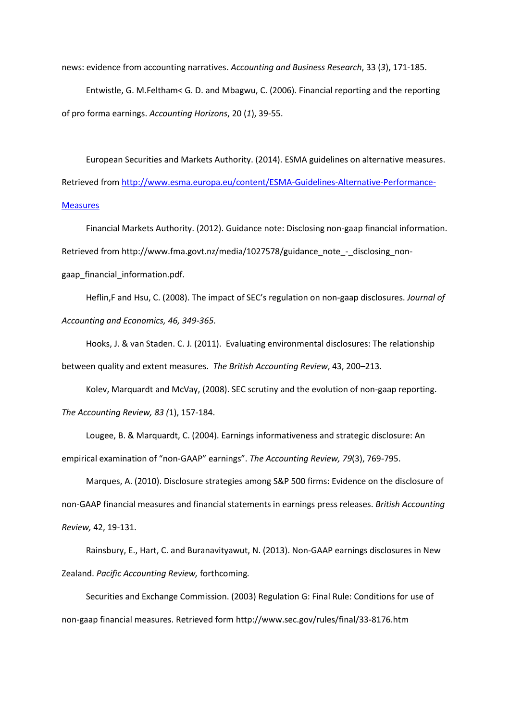news: evidence from accounting narratives. *Accounting and Business Research*, 33 (*3*), 171-185.

Entwistle, G. M.Feltham< G. D. and Mbagwu, C. (2006). Financial reporting and the reporting of pro forma earnings. *Accounting Horizons*, 20 (*1*), 39-55.

European Securities and Markets Authority. (2014). ESMA guidelines on alternative measures. Retrieved from [http://www.esma.europa.eu/content/ESMA-Guidelines-Alternative-Performance-](http://www.esma.europa.eu/content/ESMA-Guidelines-Alternative-Performance-Measures)**[Measures](http://www.esma.europa.eu/content/ESMA-Guidelines-Alternative-Performance-Measures)** 

Financial Markets Authority. (2012). Guidance note: Disclosing non-gaap financial information. Retrieved from http://www.fma.govt.nz/media/1027578/guidance\_note\_-\_disclosing\_nongaap\_financial\_information.pdf.

Heflin,F and Hsu, C. (2008). The impact of SEC's regulation on non-gaap disclosures. *Journal of Accounting and Economics, 46, 349-365.* 

Hooks, J. & van Staden. C. J. (2011). Evaluating environmental disclosures: The relationship between quality and extent measures. *The British Accounting Review*, 43, 200–213.

Kolev, Marquardt and McVay, (2008). SEC scrutiny and the evolution of non-gaap reporting. *The Accounting Review, 83 (*1), 157-184.

Lougee, B. & Marquardt, C. (2004). Earnings informativeness and strategic disclosure: An empirical examination of "non-GAAP" earnings". *The Accounting Review, 79*(3), 769-795.

Marques, A. (2010). Disclosure strategies among S&P 500 firms: Evidence on the disclosure of non-GAAP financial measures and financial statements in earnings press releases. *British Accounting Review,* 42, 19-131.

Rainsbury, E., Hart, C. and Buranavityawut, N. (2013). Non-GAAP earnings disclosures in New Zealand. *Pacific Accounting Review,* forthcoming*.* 

Securities and Exchange Commission. (2003) Regulation G: Final Rule: Conditions for use of non-gaap financial measures. Retrieved form<http://www.sec.gov/rules/final/33-8176.htm>